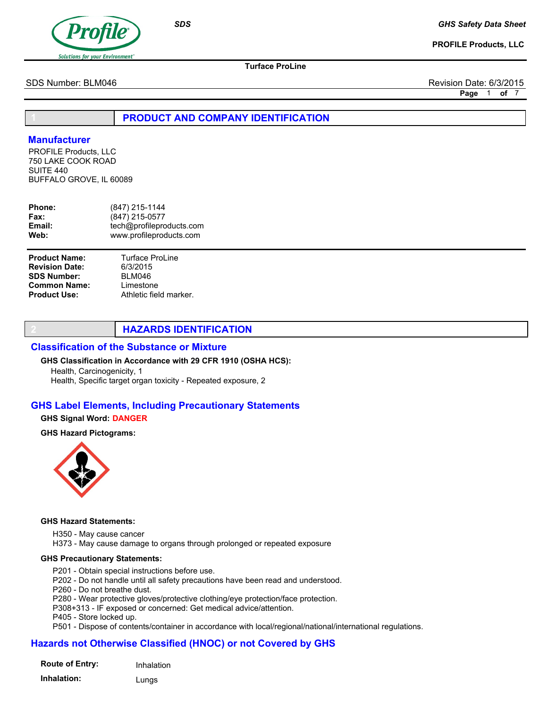

PROFILE Products, LLC

Turface ProLine

SDS Number: BLM046 Revision Date: 6/3/2015

Page 1 of 7

PRODUCT AND COMPANY IDENTIFICATION

## **Manufacturer**

PROFILE Products, LLC 750 LAKE COOK ROAD SUITE 440 BUFFALO GROVE, IL 60089

| <b>Phone:</b> | (847) 215-1144           |
|---------------|--------------------------|
| <b>Fax:</b>   | (847) 215-0577           |
| Email:        | tech@profileproducts.com |
| Web:          | www.profileproducts.com  |
|               |                          |

| <b>Product Name:</b>  |  |
|-----------------------|--|
| <b>Revision Date:</b> |  |
| <b>SDS Number:</b>    |  |
| <b>Common Name:</b>   |  |
| <b>Product Use:</b>   |  |

# **HAZARDS IDENTIFICATION**

### Classification of the Substance or Mixture

#### GHS Classification in Accordance with 29 CFR 1910 (OSHA HCS):

Health, Carcinogenicity, 1 Health, Specific target organ toxicity - Repeated exposure, 2

Turface ProLine 6/3/2015 BLM046 Limestone

Athletic field marker.

### GHS Label Elements, Including Precautionary Statements

#### GHS Signal Word: DANGER

## GHS Hazard Pictograms:



#### GHS Hazard Statements:

H350 - May cause cancer

H373 - May cause damage to organs through prolonged or repeated exposure

#### GHS Precautionary Statements:

- P201 Obtain special instructions before use.
- P202 Do not handle until all safety precautions have been read and understood.
- P260 Do not breathe dust.
- P280 Wear protective gloves/protective clothing/eye protection/face protection.
- P308+313 IF exposed or concerned: Get medical advice/attention.
- P405 Store locked up.
- P501 Dispose of contents/container in accordance with local/regional/national/international regulations.

## Hazards not Otherwise Classified (HNOC) or not Covered by GHS

| <b>Route of Entry:</b> | Inhalation |
|------------------------|------------|
| Inhalation:            | Lungs      |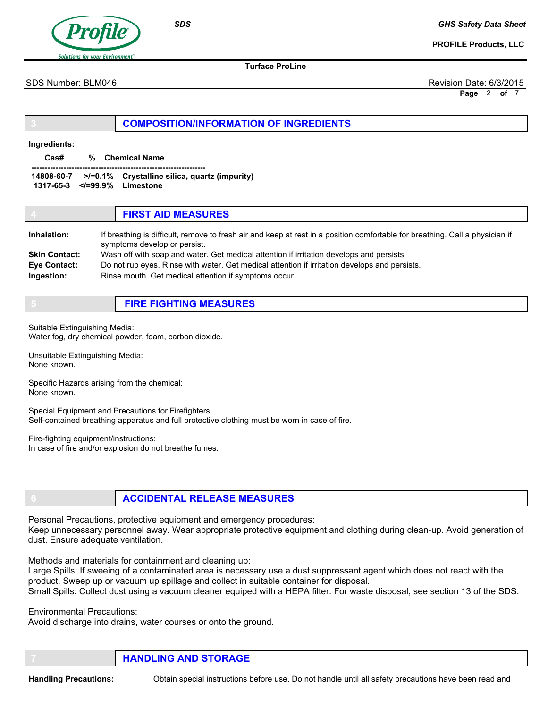

GHS Safety Data Sheet

PROFILE Products, LLC

Turface ProLine

SDS Number: BLM046 Revision Date: 6/3/2015

Page 2 of 7

## COMPOSITION/INFORMATION OF INGREDIENTS

#### Ingredients:

Cas# % Chemical Name

----------------------------------------------------------------- 14808-60-7 >/=0.1% Crystalline silica, quartz (impurity) 1317-65-3 </=99.9% Limestone

|                      | <b>FIRST AID MEASURES</b>                                                                                                                                    |
|----------------------|--------------------------------------------------------------------------------------------------------------------------------------------------------------|
| Inhalation:          | If breathing is difficult, remove to fresh air and keep at rest in a position comfortable for breathing. Call a physician if<br>symptoms develop or persist. |
| <b>Skin Contact:</b> | Wash off with soap and water. Get medical attention if irritation develops and persists.                                                                     |
| Eye Contact:         | Do not rub eyes. Rinse with water. Get medical attention if irritation develops and persists.                                                                |
| Ingestion:           | Rinse mouth. Get medical attention if symptoms occur.                                                                                                        |

# 5 FIRE FIGHTING MEASURES

Suitable Extinguishing Media: Water fog, dry chemical powder, foam, carbon dioxide.

Unsuitable Extinguishing Media: None known.

Specific Hazards arising from the chemical: None known.

Special Equipment and Precautions for Firefighters: Self-contained breathing apparatus and full protective clothing must be worn in case of fire.

Fire-fighting equipment/instructions: In case of fire and/or explosion do not breathe fumes.

# 6 ACCIDENTAL RELEASE MEASURES

Personal Precautions, protective equipment and emergency procedures: Keep unnecessary personnel away. Wear appropriate protective equipment and clothing during clean-up. Avoid generation of dust. Ensure adequate ventilation.

Methods and materials for containment and cleaning up:

Large Spills: If sweeing of a contaminated area is necessary use a dust suppressant agent which does not react with the product. Sweep up or vacuum up spillage and collect in suitable container for disposal. Small Spills: Collect dust using a vacuum cleaner equiped with a HEPA filter. For waste disposal, see section 13 of the SDS.

Environmental Precautions:

Avoid discharge into drains, water courses or onto the ground.

**HANDLING AND STORAGE** 

Handling Precautions: Obtain special instructions before use. Do not handle until all safety precautions have been read and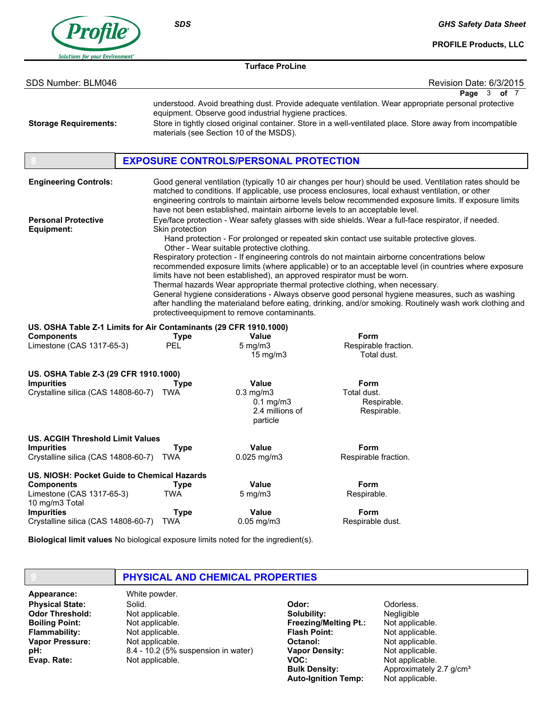

GHS Safety Data Sheet

PROFILE Products, LLC

| <b>Turface ProLine</b>                                                                                                                                                      |                                                 |                                                                                                                                                                      |                                                                                                                                                                                                                                                                                                                                                                                                                                                                                                                                                                                                                                                                                                             |                         |
|-----------------------------------------------------------------------------------------------------------------------------------------------------------------------------|-------------------------------------------------|----------------------------------------------------------------------------------------------------------------------------------------------------------------------|-------------------------------------------------------------------------------------------------------------------------------------------------------------------------------------------------------------------------------------------------------------------------------------------------------------------------------------------------------------------------------------------------------------------------------------------------------------------------------------------------------------------------------------------------------------------------------------------------------------------------------------------------------------------------------------------------------------|-------------------------|
| SDS Number: BLM046                                                                                                                                                          |                                                 |                                                                                                                                                                      |                                                                                                                                                                                                                                                                                                                                                                                                                                                                                                                                                                                                                                                                                                             | Revision Date: 6/3/2015 |
| <b>Storage Requirements:</b>                                                                                                                                                |                                                 | equipment. Observe good industrial hygiene practices.<br>materials (see Section 10 of the MSDS).                                                                     | understood. Avoid breathing dust. Provide adequate ventilation. Wear appropriate personal protective<br>Store in tightly closed original container. Store in a well-ventilated place. Store away from incompatible                                                                                                                                                                                                                                                                                                                                                                                                                                                                                          | Page 3 of 7             |
|                                                                                                                                                                             |                                                 | <b>EXPOSURE CONTROLS/PERSONAL PROTECTION</b>                                                                                                                         |                                                                                                                                                                                                                                                                                                                                                                                                                                                                                                                                                                                                                                                                                                             |                         |
| <b>Engineering Controls:</b>                                                                                                                                                |                                                 |                                                                                                                                                                      | Good general ventilation (typically 10 air changes per hour) should be used. Ventilation rates should be<br>matched to conditions. If applicable, use process enclosures, local exhaust ventilation, or other<br>engineering controls to maintain airborne levels below recommended exposure limits. If exposure limits<br>have not been established, maintain airborne levels to an acceptable level.                                                                                                                                                                                                                                                                                                      |                         |
| <b>Personal Protective</b><br>Equipment:                                                                                                                                    | Skin protection                                 | Other - Wear suitable protective clothing.<br>limits have not been established), an approved respirator must be worn.<br>protectiveequipment to remove contaminants. | Eye/face protection - Wear safety glasses with side shields. Wear a full-face respirator, if needed.<br>Hand protection - For prolonged or repeated skin contact use suitable protective gloves.<br>Respiratory protection - If engineering controls do not maintain airborne concentrations below<br>recommended exposure limits (where applicable) or to an acceptable level (in countries where exposure<br>Thermal hazards Wear appropriate thermal protective clothing, when necessary.<br>General hygiene considerations - Always observe good personal hygiene measures, such as washing<br>after handling the materialand before eating, drinking, and/or smoking. Routinely wash work clothing and |                         |
| US. OSHA Table Z-1 Limits for Air Contaminants (29 CFR 1910.1000)<br><b>Components</b><br>Limestone (CAS 1317-65-3)                                                         | <b>Type</b><br><b>PEL</b>                       | <b>Value</b><br>$5$ mg/m $3$<br>$15 \text{ mg/m}$                                                                                                                    | Form<br>Respirable fraction.<br>Total dust.                                                                                                                                                                                                                                                                                                                                                                                                                                                                                                                                                                                                                                                                 |                         |
| US. OSHA Table Z-3 (29 CFR 1910.1000)<br><b>Impurities</b><br>Crystalline silica (CAS 14808-60-7)                                                                           | Type<br>TWA                                     | Value<br>$0.3$ mg/m $3$<br>$0.1$ mg/m $3$<br>2.4 millions of<br>particle                                                                                             | Form<br>Total dust.<br>Respirable.<br>Respirable.                                                                                                                                                                                                                                                                                                                                                                                                                                                                                                                                                                                                                                                           |                         |
| <b>US. ACGIH Threshold Limit Values</b><br><b>Impurities</b><br>Crystalline silica (CAS 14808-60-7)                                                                         | <b>Type</b><br>TWA                              | Value<br>0.025 mg/m3                                                                                                                                                 | Form<br>Respirable fraction.                                                                                                                                                                                                                                                                                                                                                                                                                                                                                                                                                                                                                                                                                |                         |
| US. NIOSH: Pocket Guide to Chemical Hazards<br><b>Components</b><br>Limestone (CAS 1317-65-3)<br>10 mg/m3 Total<br><b>Impurities</b><br>Crystalline silica (CAS 14808-60-7) | <b>Type</b><br>TWA<br><b>Type</b><br><b>TWA</b> | <b>Value</b><br>$5 \text{ mg/m}$<br>Value<br>$0.05$ mg/m $3$                                                                                                         | Form<br>Respirable.<br>Form<br>Respirable dust.                                                                                                                                                                                                                                                                                                                                                                                                                                                                                                                                                                                                                                                             |                         |

Biological limit values No biological exposure limits noted for the ingredient(s).

## PHYSICAL AND CHEMICAL PROPERTIES

Physical State: Odor Threshold: Boiling Point: Flammability: Vapor Pressure: pH: Evap. Rate: Appearance: White powder.

Solid. Not applicable. Not applicable. Not applicable. Not applicable. 8.4 - 10.2 (5% suspension in water) Not applicable.

Odor: Solubility: Freezing/Melting Pt.: Flash Point: Octanol: Vapor Density: VOC: Bulk Density: Auto-Ignition Temp:

Odorless. Negligible Not applicable. Not applicable. Not applicable. Not applicable. Not applicable. Approximately 2.7 g/cm<sup>3</sup> Not applicable.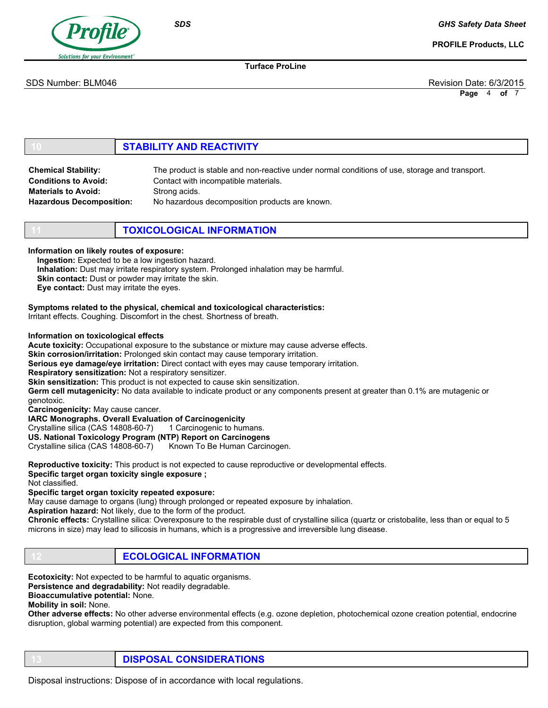

GHS Safety Data Sheet

PROFILE Products, LLC

Turface ProLine

SDS Number: BLM046 Revision Date: 6/3/2015

Page 4 of 7

# **STABILITY AND REACTIVITY**

| <b>Chemical Stability:</b>      | The product is stable and non-reactive under normal conditions of use, storage and transport. |
|---------------------------------|-----------------------------------------------------------------------------------------------|
| <b>Conditions to Avoid:</b>     | Contact with incompatible materials.                                                          |
| <b>Materials to Avoid:</b>      | Strong acids.                                                                                 |
| <b>Hazardous Decomposition:</b> | No hazardous decomposition products are known.                                                |

**TOXICOLOGICAL INFORMATION** 

Information on likely routes of exposure:

Ingestion: Expected to be a low ingestion hazard.

Inhalation: Dust may irritate respiratory system. Prolonged inhalation may be harmful.

Skin contact: Dust or powder may irritate the skin.

Eye contact: Dust may irritate the eyes.

Symptoms related to the physical, chemical and toxicological characteristics:

Irritant effects. Coughing. Discomfort in the chest. Shortness of breath.

#### Information on toxicological effects

Acute toxicity: Occupational exposure to the substance or mixture may cause adverse effects.

Skin corrosion/irritation: Prolonged skin contact may cause temporary irritation.

Serious eye damage/eye irritation: Direct contact with eyes may cause temporary irritation.

Respiratory sensitization: Not a respiratory sensitizer.

Skin sensitization: This product is not expected to cause skin sensitization.

Germ cell mutagenicity: No data available to indicate product or any components present at greater than 0.1% are mutagenic or genotoxic.

Carcinogenicity: May cause cancer.

IARC Monographs. Overall Evaluation of Carcinogenicity

Crystalline silica (CAS 14808-60-7) 1 Carcinogenic to humans.

US. National Toxicology Program (NTP) Report on Carcinogens

Crystalline silica (CAS 14808-60-7) Known To Be Human Carcinogen.

Reproductive toxicity: This product is not expected to cause reproductive or developmental effects.

Specific target organ toxicity single exposure ;

Not classified.

Specific target organ toxicity repeated exposure:

May cause damage to organs (lung) through prolonged or repeated exposure by inhalation.

Aspiration hazard: Not likely, due to the form of the product.

Chronic effects: Crystalline silica: Overexposure to the respirable dust of crystalline silica (quartz or cristobalite, less than or equal to 5 microns in size) may lead to silicosis in humans, which is a progressive and irreversible lung disease.

**ECOLOGICAL INFORMATION** 

Ecotoxicity: Not expected to be harmful to aquatic organisms.

Persistence and degradability: Not readily degradable.

Bioaccumulative potential: None.

Mobility in soil: None.

Other adverse effects: No other adverse environmental effects (e.g. ozone depletion, photochemical ozone creation potential, endocrine disruption, global warming potential) are expected from this component.

DISPOSAL CONSIDERATIONS

Disposal instructions: Dispose of in accordance with local regulations.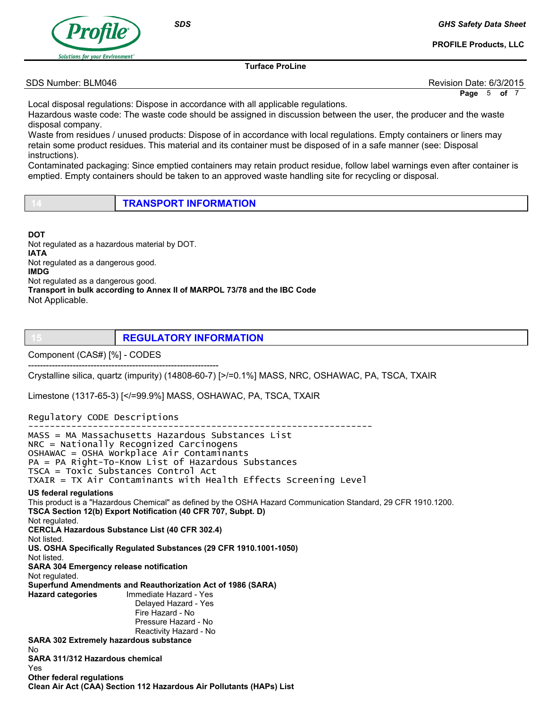

GHS Safety Data Sheet

PROFILE Products, LLC

Turface ProLine

#### SDS Number: BLM046 Revision Date: 6/3/2015

Page 5 of 7

Local disposal regulations: Dispose in accordance with all applicable regulations.

Hazardous waste code: The waste code should be assigned in discussion between the user, the producer and the waste disposal company.

Waste from residues / unused products: Dispose of in accordance with local regulations. Empty containers or liners may retain some product residues. This material and its container must be disposed of in a safe manner (see: Disposal instructions).

Contaminated packaging: Since emptied containers may retain product residue, follow label warnings even after container is emptied. Empty containers should be taken to an approved waste handling site for recycling or disposal.

| <b>TRANSPORT INFORMATION</b> |
|------------------------------|
|                              |

**DOT** Not regulated as a hazardous material by DOT. IATA Not regulated as a dangerous good. IMDG Not regulated as a dangerous good. Transport in bulk according to Annex II of MARPOL 73/78 and the IBC Code Not Applicable.

**REGULATORY INFORMATION** 

Component (CAS#) [%] - CODES

---------------------------------------------------------------- Crystalline silica, quartz (impurity) (14808-60-7) [>/=0.1%] MASS, NRC, OSHAWAC, PA, TSCA, TXAIR

Limestone (1317-65-3) [</=99.9%] MASS, OSHAWAC, PA, TSCA, TXAIR

Clean Air Act (CAA) Section 112 Hazardous Air Pollutants (HAPs) List

Regulatory CODE Descriptions

---------------------------------------------------------------- MASS = MA Massachusetts Hazardous Substances List NRC = Nationally Recognized Carcinogens OSHAWAC = OSHA Workplace Air Contaminants PA = PA Right-To-Know List of Hazardous Substances TSCA = Toxic Substances Control Act TXAIR = TX Air Contaminants with Health Effects Screening Level US federal regulations This product is a "Hazardous Chemical" as defined by the OSHA Hazard Communication Standard, 29 CFR 1910.1200. TSCA Section 12(b) Export Notification (40 CFR 707, Subpt. D) Not regulated. CERCLA Hazardous Substance List (40 CFR 302.4) Not listed. US. OSHA Specifically Regulated Substances (29 CFR 1910.1001-1050) Not listed. SARA 304 Emergency release notification Not regulated. Superfund Amendments and Reauthorization Act of 1986 (SARA) Hazard categories Immediate Hazard - Yes Delayed Hazard - Yes Fire Hazard - No Pressure Hazard - No Reactivity Hazard - No SARA 302 Extremely hazardous substance No SARA 311/312 Hazardous chemical Yes Other federal regulations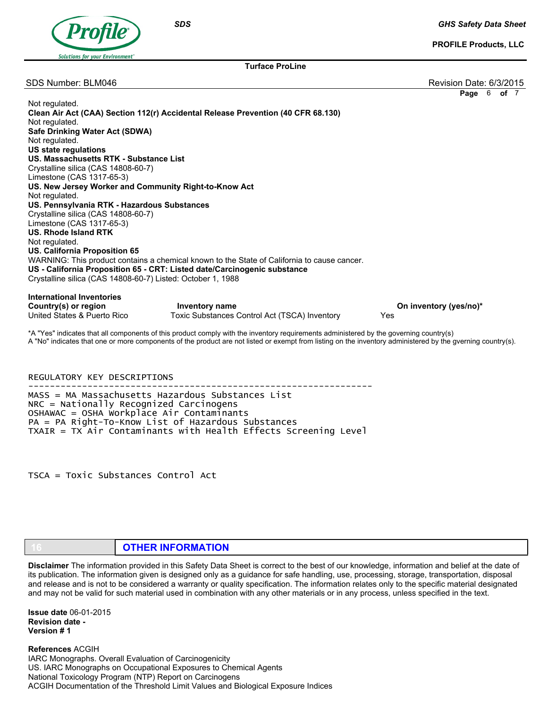

GHS Safety Data Sheet

PROFILE Products, LLC

Turface ProLine

SDS Number: BLM046 Revision Date: 6/3/2015

Page 6 of 7

| Not regulated.<br>Not regulated.<br>Safe Drinking Water Act (SDWA)<br>Not regulated.<br><b>US state regulations</b><br>US. Massachusetts RTK - Substance List<br>Crystalline silica (CAS 14808-60-7)<br>Limestone (CAS 1317-65-3)<br>US. New Jersey Worker and Community Right-to-Know Act<br>Not regulated.<br>US. Pennsylvania RTK - Hazardous Substances<br>Crystalline silica (CAS 14808-60-7)<br>Limestone (CAS 1317-65-3)<br>US. Rhode Island RTK<br>Not regulated.<br>US. California Proposition 65<br>US - California Proposition 65 - CRT: Listed date/Carcinogenic substance | Clean Air Act (CAA) Section 112(r) Accidental Release Prevention (40 CFR 68.130)<br>WARNING: This product contains a chemical known to the State of California to cause cancer. |                               |
|----------------------------------------------------------------------------------------------------------------------------------------------------------------------------------------------------------------------------------------------------------------------------------------------------------------------------------------------------------------------------------------------------------------------------------------------------------------------------------------------------------------------------------------------------------------------------------------|---------------------------------------------------------------------------------------------------------------------------------------------------------------------------------|-------------------------------|
| Crystalline silica (CAS 14808-60-7) Listed: October 1, 1988                                                                                                                                                                                                                                                                                                                                                                                                                                                                                                                            |                                                                                                                                                                                 |                               |
| <b>International Inventories</b><br>Country(s) or region<br>United States & Puerto Rico                                                                                                                                                                                                                                                                                                                                                                                                                                                                                                | Inventory name<br>Toxic Substances Control Act (TSCA) Inventory                                                                                                                 | On inventory (yes/no)*<br>Yes |
|                                                                                                                                                                                                                                                                                                                                                                                                                                                                                                                                                                                        | *A "Yes" indicates that all components of this product comply with the inventory requirements administered by the governing country(s)                                          |                               |

A "No" indicates that one or more components of the product are not listed or exempt from listing on the inventory administered by the gverning country(s).

REGULATORY KEY DESCRIPTIONS ---------------------------------------------------------------- MASS = MA Massachusetts Hazardous Substances List NRC = Nationally Recognized Carcinogens OSHAWAC = OSHA Workplace Air Contaminants PA = PA Right-To-Know List of Hazardous Substances TXAIR = TX Air Contaminants with Health Effects Screening Level

TSCA = Toxic Substances Control Act

## **OTHER INFORMATION**

Disclaimer The information provided in this Safety Data Sheet is correct to the best of our knowledge, information and belief at the date of its publication. The information given is designed only as a guidance for safe handling, use, processing, storage, transportation, disposal and release and is not to be considered a warranty or quality specification. The information relates only to the specific material designated and may not be valid for such material used in combination with any other materials or in any process, unless specified in the text.

Issue date 06-01-2015 Revision date - Version # 1

References ACGIH IARC Monographs. Overall Evaluation of Carcinogenicity US. IARC Monographs on Occupational Exposures to Chemical Agents National Toxicology Program (NTP) Report on Carcinogens ACGIH Documentation of the Threshold Limit Values and Biological Exposure Indices